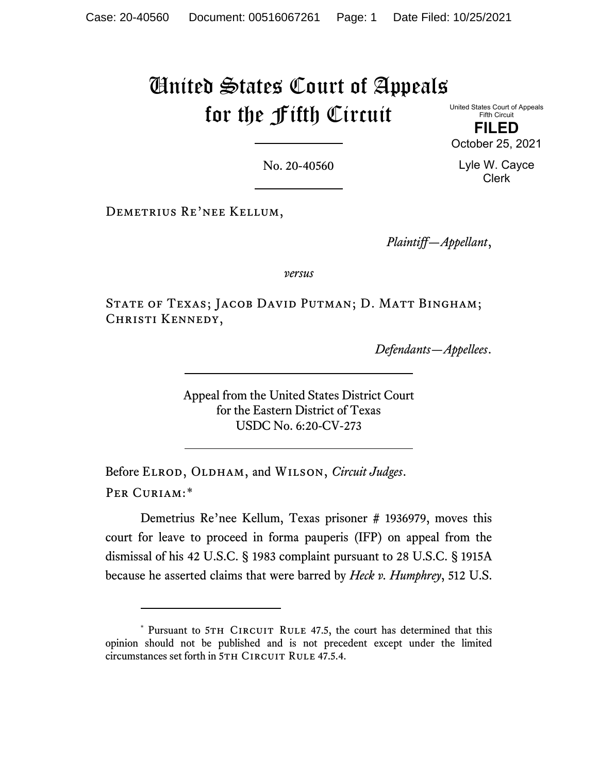## United States Court of Appeals for the Fifth Circuit

United States Court of Appeals Fifth Circuit **FILED**

October 25, 2021

Lyle W. Cayce Clerk

No. 20-40560

Demetrius Re'nee Kellum,

*Plaintiff—Appellant*,

*versus*

STATE OF TEXAS; JACOB DAVID PUTMAN; D. MATT BINGHAM; CHRISTI KENNEDY,

*Defendants—Appellees*.

Appeal from the United States District Court for the Eastern District of Texas USDC No. 6:20-CV-273

Before ELROD, OLDHAM, and WILSON, *Circuit Judges*. Per Curiam:[\\*](#page-0-0)

Demetrius Re'nee Kellum, Texas prisoner # 1936979, moves this court for leave to proceed in forma pauperis (IFP) on appeal from the dismissal of his 42 U.S.C. § 1983 complaint pursuant to 28 U.S.C. § 1915A because he asserted claims that were barred by *Heck v. Humphrey*, 512 U.S.

<span id="page-0-0"></span><sup>\*</sup> Pursuant to 5TH CIRCUIT RULE 47.5, the court has determined that this opinion should not be published and is not precedent except under the limited circumstances set forth in 5TH CIRCUIT RULE 47.5.4.